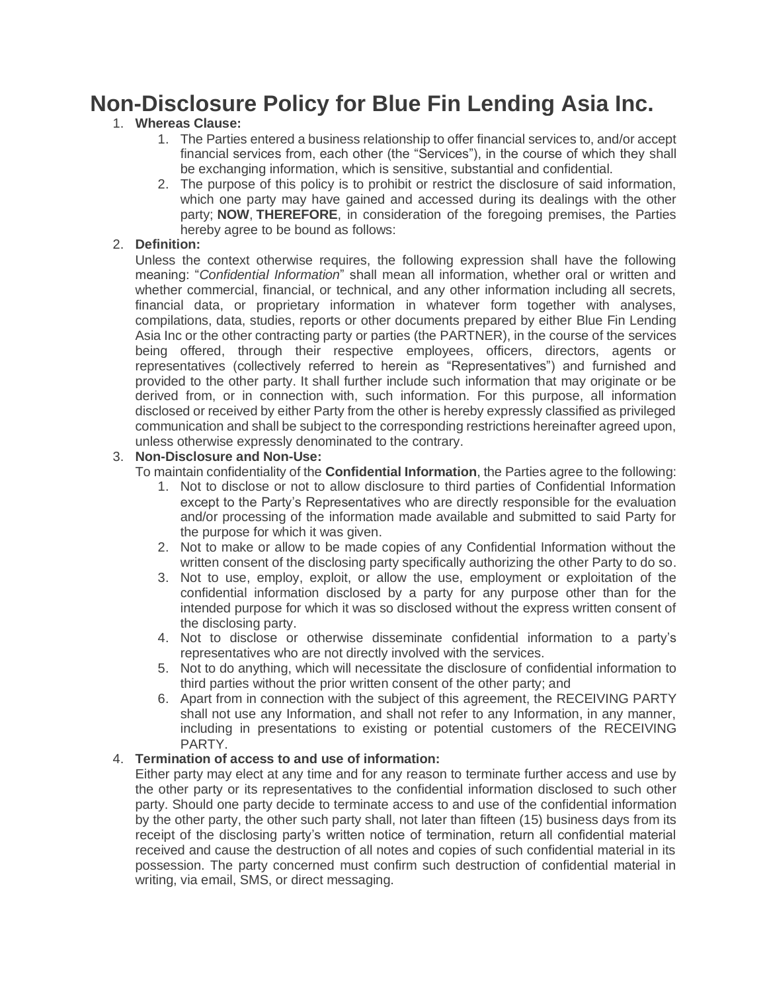# **Non-Disclosure Policy for Blue Fin Lending Asia Inc.**

# 1. **Whereas Clause:**

- 1. The Parties entered a business relationship to offer financial services to, and/or accept financial services from, each other (the "Services"), in the course of which they shall be exchanging information, which is sensitive, substantial and confidential.
- 2. The purpose of this policy is to prohibit or restrict the disclosure of said information, which one party may have gained and accessed during its dealings with the other party; **NOW**, **THEREFORE**, in consideration of the foregoing premises, the Parties hereby agree to be bound as follows:

## 2. **Definition:**

Unless the context otherwise requires, the following expression shall have the following meaning: "*Confidential Information*" shall mean all information, whether oral or written and whether commercial, financial, or technical, and any other information including all secrets, financial data, or proprietary information in whatever form together with analyses, compilations, data, studies, reports or other documents prepared by either Blue Fin Lending Asia Inc or the other contracting party or parties (the PARTNER), in the course of the services being offered, through their respective employees, officers, directors, agents or representatives (collectively referred to herein as "Representatives") and furnished and provided to the other party. It shall further include such information that may originate or be derived from, or in connection with, such information. For this purpose, all information disclosed or received by either Party from the other is hereby expressly classified as privileged communication and shall be subject to the corresponding restrictions hereinafter agreed upon, unless otherwise expressly denominated to the contrary.

### 3. **Non-Disclosure and Non-Use:**

To maintain confidentiality of the **Confidential Information**, the Parties agree to the following:

- 1. Not to disclose or not to allow disclosure to third parties of Confidential Information except to the Party's Representatives who are directly responsible for the evaluation and/or processing of the information made available and submitted to said Party for the purpose for which it was given.
- 2. Not to make or allow to be made copies of any Confidential Information without the written consent of the disclosing party specifically authorizing the other Party to do so.
- 3. Not to use, employ, exploit, or allow the use, employment or exploitation of the confidential information disclosed by a party for any purpose other than for the intended purpose for which it was so disclosed without the express written consent of the disclosing party.
- 4. Not to disclose or otherwise disseminate confidential information to a party's representatives who are not directly involved with the services.
- 5. Not to do anything, which will necessitate the disclosure of confidential information to third parties without the prior written consent of the other party; and
- 6. Apart from in connection with the subject of this agreement, the RECEIVING PARTY shall not use any Information, and shall not refer to any Information, in any manner, including in presentations to existing or potential customers of the RECEIVING PARTY.

#### 4. **Termination of access to and use of information:**

Either party may elect at any time and for any reason to terminate further access and use by the other party or its representatives to the confidential information disclosed to such other party. Should one party decide to terminate access to and use of the confidential information by the other party, the other such party shall, not later than fifteen (15) business days from its receipt of the disclosing party's written notice of termination, return all confidential material received and cause the destruction of all notes and copies of such confidential material in its possession. The party concerned must confirm such destruction of confidential material in writing, via email, SMS, or direct messaging.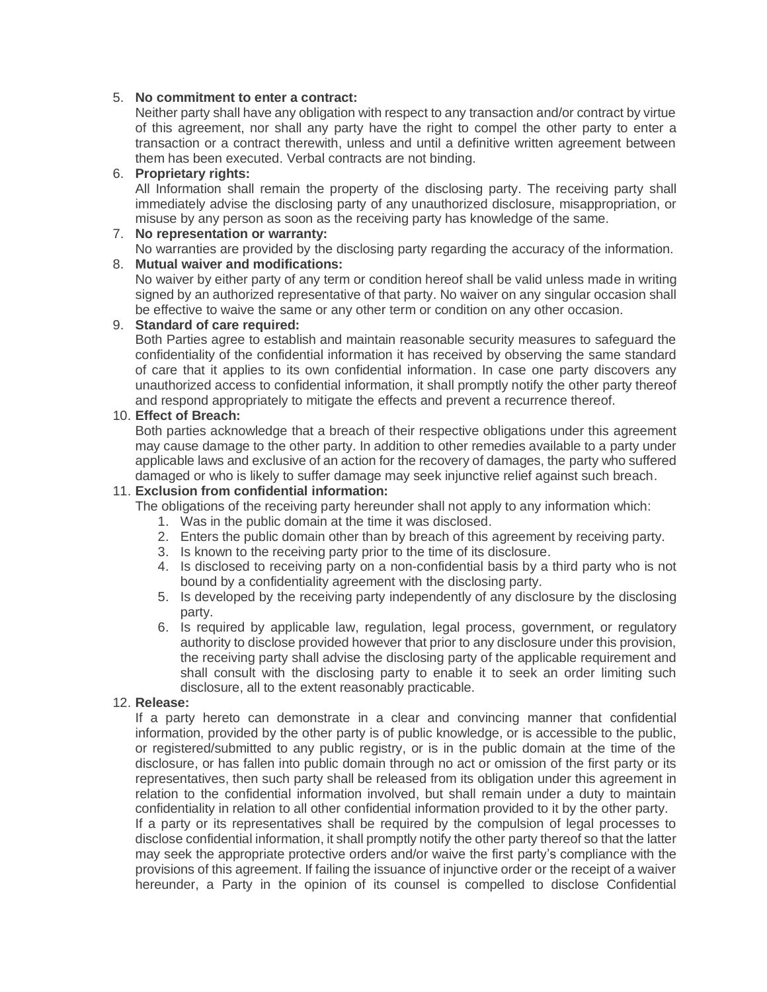#### 5. **No commitment to enter a contract:**

Neither party shall have any obligation with respect to any transaction and/or contract by virtue of this agreement, nor shall any party have the right to compel the other party to enter a transaction or a contract therewith, unless and until a definitive written agreement between them has been executed. Verbal contracts are not binding.

#### 6. **Proprietary rights:**

All Information shall remain the property of the disclosing party. The receiving party shall immediately advise the disclosing party of any unauthorized disclosure, misappropriation, or misuse by any person as soon as the receiving party has knowledge of the same.

#### 7. **No representation or warranty:**

No warranties are provided by the disclosing party regarding the accuracy of the information.

# 8. **Mutual waiver and modifications:**

No waiver by either party of any term or condition hereof shall be valid unless made in writing signed by an authorized representative of that party. No waiver on any singular occasion shall be effective to waive the same or any other term or condition on any other occasion.

#### 9. **Standard of care required:**

Both Parties agree to establish and maintain reasonable security measures to safeguard the confidentiality of the confidential information it has received by observing the same standard of care that it applies to its own confidential information. In case one party discovers any unauthorized access to confidential information, it shall promptly notify the other party thereof and respond appropriately to mitigate the effects and prevent a recurrence thereof.

#### 10. **Effect of Breach:**

Both parties acknowledge that a breach of their respective obligations under this agreement may cause damage to the other party. In addition to other remedies available to a party under applicable laws and exclusive of an action for the recovery of damages, the party who suffered damaged or who is likely to suffer damage may seek injunctive relief against such breach.

#### 11. **Exclusion from confidential information:**

The obligations of the receiving party hereunder shall not apply to any information which:

- 1. Was in the public domain at the time it was disclosed.
- 2. Enters the public domain other than by breach of this agreement by receiving party.
- 3. Is known to the receiving party prior to the time of its disclosure.
- 4. Is disclosed to receiving party on a non-confidential basis by a third party who is not bound by a confidentiality agreement with the disclosing party.
- 5. Is developed by the receiving party independently of any disclosure by the disclosing party.
- 6. Is required by applicable law, regulation, legal process, government, or regulatory authority to disclose provided however that prior to any disclosure under this provision, the receiving party shall advise the disclosing party of the applicable requirement and shall consult with the disclosing party to enable it to seek an order limiting such disclosure, all to the extent reasonably practicable.

#### 12. **Release:**

If a party hereto can demonstrate in a clear and convincing manner that confidential information, provided by the other party is of public knowledge, or is accessible to the public, or registered/submitted to any public registry, or is in the public domain at the time of the disclosure, or has fallen into public domain through no act or omission of the first party or its representatives, then such party shall be released from its obligation under this agreement in relation to the confidential information involved, but shall remain under a duty to maintain confidentiality in relation to all other confidential information provided to it by the other party.

If a party or its representatives shall be required by the compulsion of legal processes to disclose confidential information, it shall promptly notify the other party thereof so that the latter may seek the appropriate protective orders and/or waive the first party's compliance with the provisions of this agreement. If failing the issuance of injunctive order or the receipt of a waiver hereunder, a Party in the opinion of its counsel is compelled to disclose Confidential